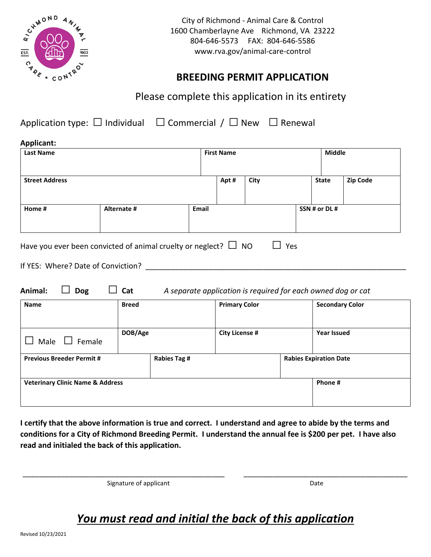

City of Richmond - Animal Care & Control 1600 Chamberlayne Ave Richmond, VA 23222 804-646-5573 FAX: 804-646-5586 www.rva.gov/animal-care-control

## **BREEDING PERMIT APPLICATION**

Please complete this application in its entirety

Application type:  $\Box$  Individual  $\Box$  Commercial /  $\Box$  New  $\Box$  Renewal

| Applicant:<br><b>Last Name</b> |             |       | <b>First Name</b> |      |  | <b>Middle</b> |                 |
|--------------------------------|-------------|-------|-------------------|------|--|---------------|-----------------|
| <b>Street Address</b>          |             |       | Apt#              | City |  | <b>State</b>  | <b>Zip Code</b> |
| Home #                         | Alternate # | Email |                   |      |  | SSN # or DL # |                 |
|                                |             |       |                   |      |  |               |                 |

| Have you ever been convicted of animal cruelty or neglect? $\Box$ NO | $\Box$ Yes |
|----------------------------------------------------------------------|------------|
|                                                                      |            |

| If YES: Where? Date of Conviction? |  |
|------------------------------------|--|
|------------------------------------|--|

| <b>Name</b>                                 | <b>Breed</b> |                     | <b>Primary Color</b>  |         | <b>Secondary Color</b>        |
|---------------------------------------------|--------------|---------------------|-----------------------|---------|-------------------------------|
| Male<br>$\Box$ Female                       | DOB/Age      |                     | <b>City License #</b> |         | <b>Year Issued</b>            |
| <b>Previous Breeder Permit #</b>            |              | <b>Rabies Tag #</b> |                       |         | <b>Rabies Expiration Date</b> |
| <b>Veterinary Clinic Name &amp; Address</b> |              |                     |                       | Phone # |                               |

**I certify that the above information is true and correct. I understand and agree to abide by the terms and conditions for a City of Richmond Breeding Permit. I understand the annual fee is \$200 per pet. I have also read and initialed the back of this application.**

Signature of applicant Date Communications of a policy and Date Date Date

## *You must read and initial the back of this application*

\_\_\_\_\_\_\_\_\_\_\_\_\_\_\_\_\_\_\_\_\_\_\_\_\_\_\_\_\_\_\_\_\_\_\_\_\_\_\_\_\_\_\_\_\_\_\_\_ \_\_\_\_\_\_\_\_\_\_\_\_\_\_\_\_\_\_\_\_\_\_\_\_\_\_\_\_\_\_\_\_\_\_\_\_\_\_\_